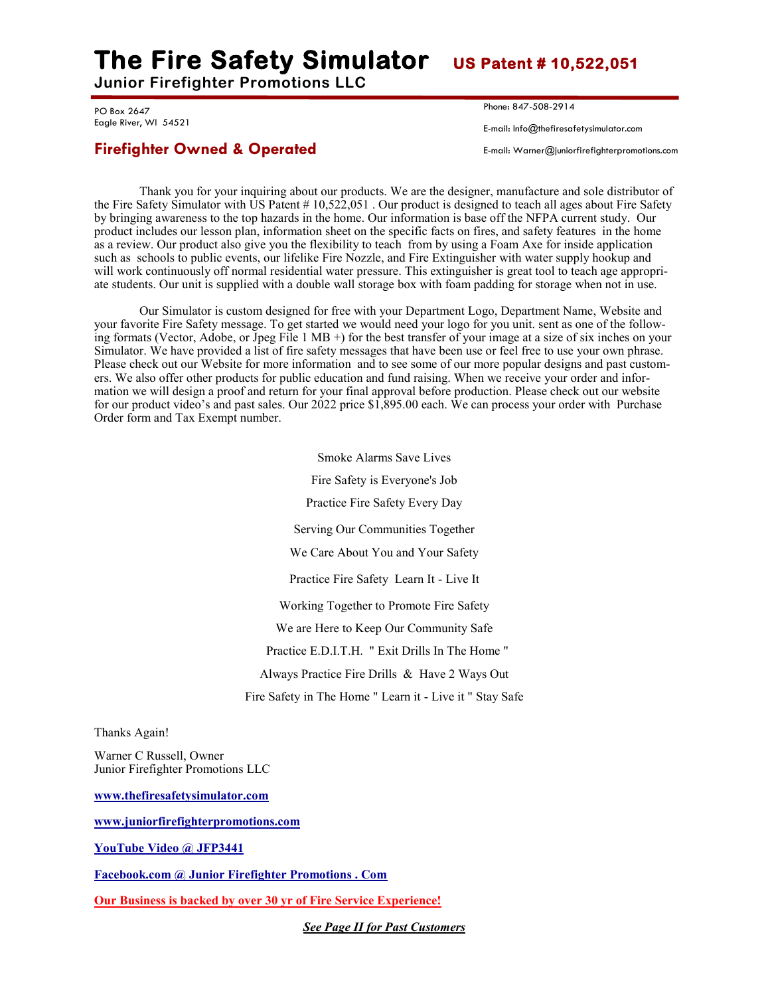## **The Fire Safety Simulator US Patent # 10,522,051**

**Junior Firefighter Promotions LLC**

PO Box 2647 Eagle River, WI 54521

## **Firefighter Owned & Operated**

Phone: 847-508-2914

E-mail: Info@thefiresafetysimulator.com

E-mail: Warner@juniorfirefighterpromotions.com

Thank you for your inquiring about our products. We are the designer, manufacture and sole distributor of the Fire Safety Simulator with US Patent # 10,522,051 . Our product is designed to teach all ages about Fire Safety by bringing awareness to the top hazards in the home. Our information is base off the NFPA current study. Our product includes our lesson plan, information sheet on the specific facts on fires, and safety features in the home as a review. Our product also give you the flexibility to teach from by using a Foam Axe for inside application such as schools to public events, our lifelike Fire Nozzle, and Fire Extinguisher with water supply hookup and will work continuously off normal residential water pressure. This extinguisher is great tool to teach age appropriate students. Our unit is supplied with a double wall storage box with foam padding for storage when not in use.

Our Simulator is custom designed for free with your Department Logo, Department Name, Website and your favorite Fire Safety message. To get started we would need your logo for you unit. sent as one of the following formats (Vector, Adobe, or Jpeg File 1 MB +) for the best transfer of your image at a size of six inches on your Simulator. We have provided a list of fire safety messages that have been use or feel free to use your own phrase. Please check out our Website for more information and to see some of our more popular designs and past customers. We also offer other products for public education and fund raising. When we receive your order and information we will design a proof and return for your final approval before production. Please check out our website for our product video's and past sales. Our 2022 price \$1,895.00 each. We can process your order with Purchase Order form and Tax Exempt number.

> Smoke Alarms Save Lives Fire Safety is Everyone's Job Practice Fire Safety Every Day Serving Our Communities Together We Care About You and Your Safety Practice Fire Safety Learn It - Live It Working Together to Promote Fire Safety We are Here to Keep Our Community Safe Practice E.D.I.T.H. " Exit Drills In The Home " Always Practice Fire Drills & Have 2 Ways Out Fire Safety in The Home " Learn it - Live it " Stay Safe

Thanks Again!

Warner C Russell, Owner Junior Firefighter Promotions LLC

**www.thefiresafetysimulator.com** 

**www.juniorfirefighterpromotions.com** 

**YouTube Video @ JFP3441**

**Facebook.com @ Junior Firefighter Promotions . Com**

**Our Business is backed by over 30 yr of Fire Service Experience!**

*See Page II for Past Customers*